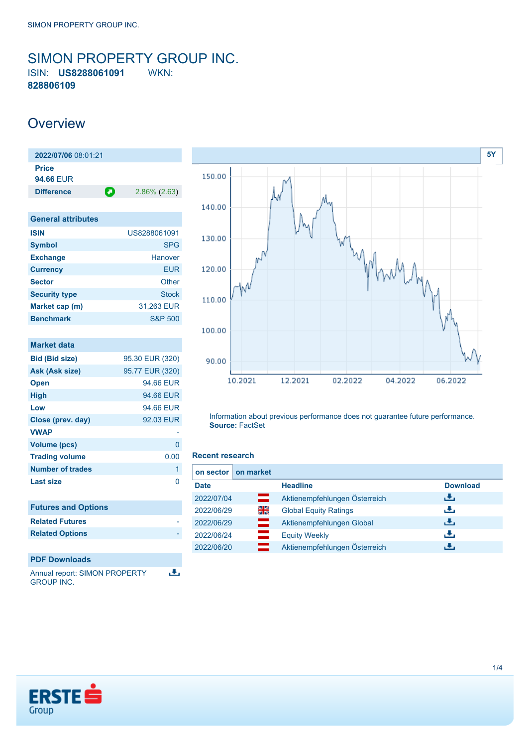## <span id="page-0-0"></span>SIMON PROPERTY GROUP INC. ISIN: **US8288061091** WKN: **828806109**

## **Overview**

**2022/07/06** 08:01:21 **Price 94.66** EUR **Difference** 2.86% (2.63)

| US8288061091       |
|--------------------|
| <b>SPG</b>         |
| Hanover            |
| EUR                |
| Other              |
| <b>Stock</b>       |
| 31,263 EUR         |
| <b>S&amp;P 500</b> |
|                    |

| <b>Market data</b>         |                 |
|----------------------------|-----------------|
| <b>Bid (Bid size)</b>      | 95.30 EUR (320) |
| Ask (Ask size)             | 95.77 EUR (320) |
| <b>Open</b>                | 94.66 EUR       |
| High                       | 94.66 EUR       |
| Low                        | 94.66 EUR       |
| Close (prev. day)          | 92.03 EUR       |
| <b>VWAP</b>                |                 |
| <b>Volume (pcs)</b>        | 0               |
| <b>Trading volume</b>      | 0.00            |
| <b>Number of trades</b>    | 1               |
| Last size                  | 0               |
|                            |                 |
| <b>Futures and Options</b> |                 |
| <b>Related Futures</b>     |                 |
| <b>Related Options</b>     |                 |
|                            |                 |
| <b>PDF Downloads</b>       |                 |
|                            |                 |

Annual report: SIMON PROPERTY 出 GROUP INC.



Information about previous performance does not guarantee future performance. **Source:** FactSet

#### **Recent research**

| on sector   | on market |                               |                 |
|-------------|-----------|-------------------------------|-----------------|
| <b>Date</b> |           | <b>Headline</b>               | <b>Download</b> |
| 2022/07/04  | ▭         | Aktienempfehlungen Österreich | رالى            |
| 2022/06/29  | 읡         | <b>Global Equity Ratings</b>  | æ,              |
| 2022/06/29  | $=$       | Aktienempfehlungen Global     | رالى            |
| 2022/06/24  | $=$       | <b>Equity Weekly</b>          | æ,              |
| 2022/06/20  |           | Aktienempfehlungen Österreich | J.              |

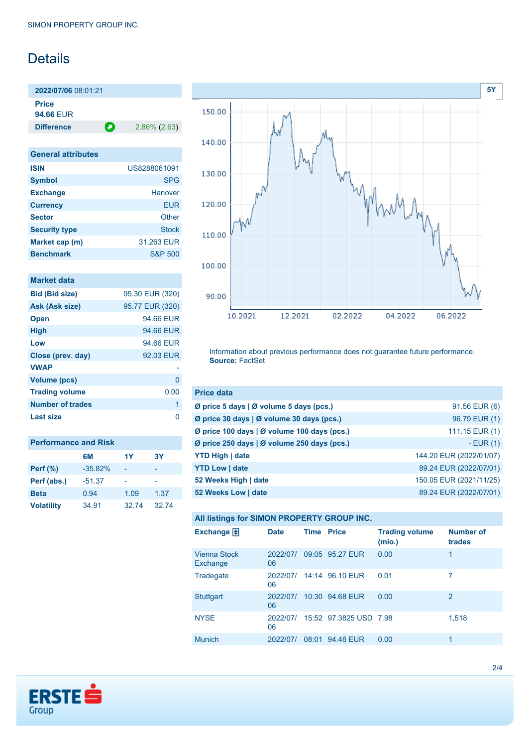# Details

**2022/07/06** 08:01:21 **Price 94.66** EUR

**Difference** 2.86% (2.63)

| <b>General attributes</b> |                    |
|---------------------------|--------------------|
| <b>ISIN</b>               | US8288061091       |
| <b>Symbol</b>             | <b>SPG</b>         |
| <b>Exchange</b>           | Hanover            |
| <b>Currency</b>           | EUR                |
| <b>Sector</b>             | Other              |
| <b>Security type</b>      | Stock              |
| Market cap (m)            | 31,263 EUR         |
| <b>Benchmark</b>          | <b>S&amp;P 500</b> |

|  | <b>Market data</b> |  |
|--|--------------------|--|
|  |                    |  |
|  |                    |  |

| <b>Bid (Bid size)</b> | 95.30 EUR (320) |
|-----------------------|-----------------|
| Ask (Ask size)        | 95.77 EUR (320) |
| <b>Open</b>           | 94.66 EUR       |
| <b>High</b>           | 94.66 EUR       |
| Low                   | 94.66 EUR       |
| Close (prev. day)     | 92.03 EUR       |
| <b>VWAP</b>           |                 |
| <b>Volume (pcs)</b>   | O               |
| <b>Trading volume</b> | 0.00            |
| Number of trades      | 1               |
| <b>Last size</b>      | ∩               |

| <b>Performance and Risk</b> |           |       |           |
|-----------------------------|-----------|-------|-----------|
|                             | 6M        | 1Y    | <b>3Y</b> |
| <b>Perf</b> (%)             | $-35.82%$ |       |           |
| Perf (abs.)                 | $-51.37$  |       |           |
| <b>Beta</b>                 | 0.94      | 1.09  | 1.37      |
| <b>Volatility</b>           | 34.91     | 32.74 | 32.74     |



Information about previous performance does not guarantee future performance. **Source:** FactSet

| <b>Price data</b>                           |                         |
|---------------------------------------------|-------------------------|
| Ø price 5 days   Ø volume 5 days (pcs.)     | 91.56 EUR (6)           |
| Ø price 30 days   Ø volume 30 days (pcs.)   | 96.79 EUR (1)           |
| Ø price 100 days   Ø volume 100 days (pcs.) | 111.15 EUR (1)          |
| Ø price 250 days   Ø volume 250 days (pcs.) | $-EUR(1)$               |
| <b>YTD High   date</b>                      | 144.20 EUR (2022/01/07) |
| <b>YTD Low   date</b>                       | 89.24 EUR (2022/07/01)  |
| 52 Weeks High   date                        | 150.05 EUR (2021/11/25) |
| 52 Weeks Low   date                         | 89.24 EUR (2022/07/01)  |

**All listings for SIMON PROPERTY GROUP INC.**

| Exchange $\Box$          | <b>Date</b>    | <b>Time Price</b> |                        | <b>Trading volume</b><br>(mio.) | <b>Number of</b><br>trades |
|--------------------------|----------------|-------------------|------------------------|---------------------------------|----------------------------|
| Vienna Stock<br>Exchange | 2022/07/<br>06 |                   | 09:05 95.27 EUR        | 0.00                            | 1                          |
| Tradegate                | 2022/07/<br>06 |                   | 14:14 96.10 EUR        | 0.01                            | 7                          |
| <b>Stuttgart</b>         | 2022/07/<br>06 |                   | 10:30 94.68 EUR        | 0.00                            | 2                          |
| <b>NYSE</b>              | 2022/07/<br>06 |                   | 15:52 97.3825 USD 7.98 |                                 | 1,518                      |
| <b>Munich</b>            | 2022/07/       | 08:01             | 94.46 EUR              | 0.00                            | 1                          |

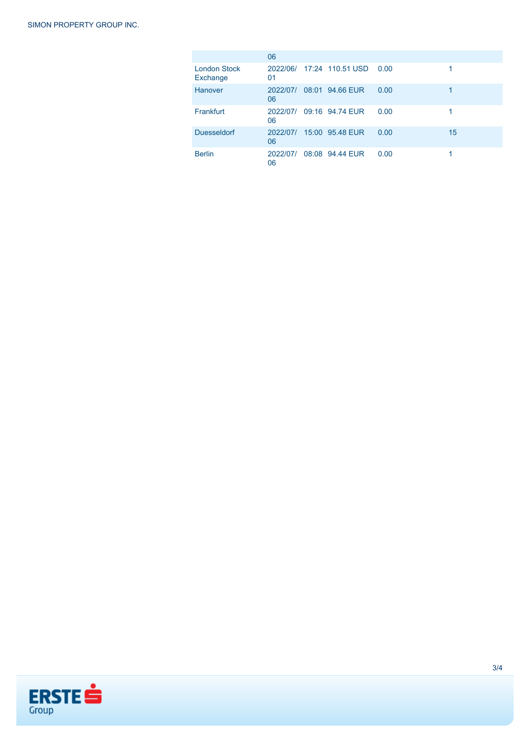|                                 | 06             |                                |      |    |
|---------------------------------|----------------|--------------------------------|------|----|
| <b>London Stock</b><br>Exchange | 01             | 2022/06/ 17:24 110.51 USD 0.00 |      | 1  |
| Hanover                         | 2022/07/<br>06 | 08:01 94.66 EUR                | 0.00 | 1  |
| Frankfurt                       | 2022/07/<br>06 | 09:16 94.74 EUR                | 0.00 | 1  |
| <b>Duesseldorf</b>              | 2022/07/<br>06 | 15:00 95.48 EUR                | 0.00 | 15 |
| <b>Berlin</b>                   | 2022/07/<br>06 | 08:08 94.44 EUR                | 0.00 |    |